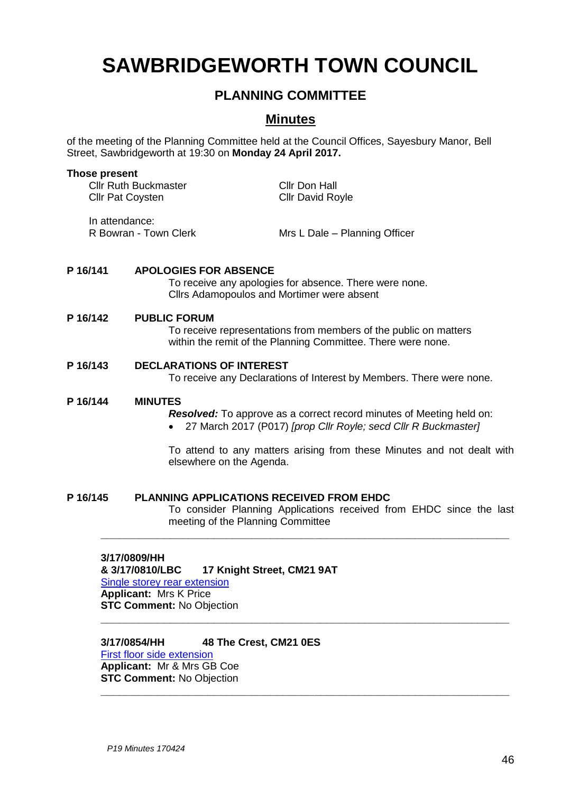# **SAWBRIDGEWORTH TOWN COUNCIL**

# **PLANNING COMMITTEE**

# **Minutes**

of the meeting of the Planning Committee held at the Council Offices, Sayesbury Manor, Bell Street, Sawbridgeworth at 19:30 on **Monday 24 April 2017.**

# **Those present**

Cllr Ruth Buckmaster Cllr Don Hall Cllr Pat Coysten Cllr David Royle

In attendance:

R Bowran - Town Clerk Mrs L Dale – Planning Officer

# **P 16/141 APOLOGIES FOR ABSENCE**

To receive any apologies for absence. There were none. Cllrs Adamopoulos and Mortimer were absent

# **P 16/142 PUBLIC FORUM**

To receive representations from members of the public on matters within the remit of the Planning Committee. There were none.

# **P 16/143 DECLARATIONS OF INTEREST**

To receive any Declarations of Interest by Members. There were none.

# **P 16/144 MINUTES**

*Resolved:* To approve as a correct record minutes of Meeting held on:

27 March 2017 (P017) *[prop Cllr Royle; secd Cllr R Buckmaster]*

To attend to any matters arising from these Minutes and not dealt with elsewhere on the Agenda.

# **P 16/145 PLANNING APPLICATIONS RECEIVED FROM EHDC**

To consider Planning Applications received from EHDC since the last meeting of the Planning Committee

**\_\_\_\_\_\_\_\_\_\_\_\_\_\_\_\_\_\_\_\_\_\_\_\_\_\_\_\_\_\_\_\_\_\_\_\_\_\_\_\_\_\_\_\_\_\_\_\_\_\_\_\_\_\_\_\_\_\_\_\_\_\_\_\_\_**

**\_\_\_\_\_\_\_\_\_\_\_\_\_\_\_\_\_\_\_\_\_\_\_\_\_\_\_\_\_\_\_\_\_\_\_\_\_\_\_\_\_\_\_\_\_\_\_\_\_\_\_\_\_\_\_\_\_\_\_\_\_\_\_\_\_**

**\_\_\_\_\_\_\_\_\_\_\_\_\_\_\_\_\_\_\_\_\_\_\_\_\_\_\_\_\_\_\_\_\_\_\_\_\_\_\_\_\_\_\_\_\_\_\_\_\_\_\_\_\_\_\_\_\_\_\_\_\_\_\_\_\_**

# **3/17/0809/HH**

**& 3/17/0810/LBC 17 Knight Street, CM21 9AT** [Single storey rear extension](https://publicaccess.eastherts.gov.uk/online-applications/applicationDetails.do?activeTab=summary&keyVal=ONPY7NGLGA300)

**Applicant:** Mrs K Price **STC Comment:** No Objection

# **3/17/0854/HH 48 The Crest, CM21 0ES**

[First floor side extension](https://publicaccess.eastherts.gov.uk/online-applications/applicationDetails.do?activeTab=summary&keyVal=ONZDU9GL00X00) **Applicant:** Mr & Mrs GB Coe **STC Comment:** No Objection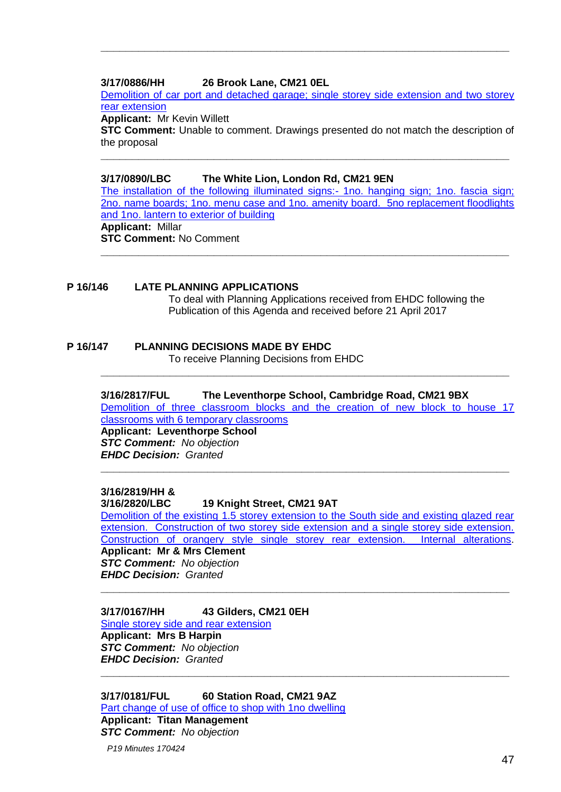# **3/17/0886/HH 26 Brook Lane, CM21 0EL**

[Demolition of car port and detached garage; single storey side extension and two storey](https://publicaccess.eastherts.gov.uk/online-applications/applicationDetails.do?activeTab=summary&keyVal=OO78GCGLGDX00)  [rear extension](https://publicaccess.eastherts.gov.uk/online-applications/applicationDetails.do?activeTab=summary&keyVal=OO78GCGLGDX00)

**\_\_\_\_\_\_\_\_\_\_\_\_\_\_\_\_\_\_\_\_\_\_\_\_\_\_\_\_\_\_\_\_\_\_\_\_\_\_\_\_\_\_\_\_\_\_\_\_\_\_\_\_\_\_\_\_\_\_\_\_\_\_\_\_\_**

**Applicant:** Mr Kevin Willett

**STC Comment:** Unable to comment. Drawings presented do not match the description of the proposal

**\_\_\_\_\_\_\_\_\_\_\_\_\_\_\_\_\_\_\_\_\_\_\_\_\_\_\_\_\_\_\_\_\_\_\_\_\_\_\_\_\_\_\_\_\_\_\_\_\_\_\_\_\_\_\_\_\_\_\_\_\_\_\_\_\_**

# **3/17/0890/LBC The White Lion, London Rd, CM21 9EN**

[The installation of the following illuminated signs:-](https://publicaccess.eastherts.gov.uk/online-applications/applicationDetails.do?activeTab=summary&keyVal=OO8GUJGLGE600) 1no. hanging sign; 1no. fascia sign; [2no. name boards; 1no. menu case and 1no. amenity board. 5no replacement floodlights](https://publicaccess.eastherts.gov.uk/online-applications/applicationDetails.do?activeTab=summary&keyVal=OO8GUJGLGE600)  [and 1no. lantern to exterior of building](https://publicaccess.eastherts.gov.uk/online-applications/applicationDetails.do?activeTab=summary&keyVal=OO8GUJGLGE600) **Applicant:** Millar **STC Comment:** No Comment **\_\_\_\_\_\_\_\_\_\_\_\_\_\_\_\_\_\_\_\_\_\_\_\_\_\_\_\_\_\_\_\_\_\_\_\_\_\_\_\_\_\_\_\_\_\_\_\_\_\_\_\_\_\_\_\_\_\_\_\_\_\_\_\_\_**

# **P 16/146 LATE PLANNING APPLICATIONS**

To deal with Planning Applications received from EHDC following the Publication of this Agenda and received before 21 April 2017

# **P 16/147 PLANNING DECISIONS MADE BY EHDC**

To receive Planning Decisions from EHDC

# **3/16/2817/FUL The Leventhorpe School, Cambridge Road, CM21 9BX**

**\_\_\_\_\_\_\_\_\_\_\_\_\_\_\_\_\_\_\_\_\_\_\_\_\_\_\_\_\_\_\_\_\_\_\_\_\_\_\_\_\_\_\_\_\_\_\_\_\_\_\_\_\_\_\_\_\_\_\_\_\_\_\_\_\_**

[Demolition of three classroom blocks and the creation of new block to house 17](https://publicaccess.eastherts.gov.uk/online-applications/simpleSearchResults.do?action=firstPage)  [classrooms with 6 temporary classrooms](https://publicaccess.eastherts.gov.uk/online-applications/simpleSearchResults.do?action=firstPage)

**\_\_\_\_\_\_\_\_\_\_\_\_\_\_\_\_\_\_\_\_\_\_\_\_\_\_\_\_\_\_\_\_\_\_\_\_\_\_\_\_\_\_\_\_\_\_\_\_\_\_\_\_\_\_\_\_\_\_\_\_\_\_\_\_\_**

**Applicant: Leventhorpe School** *STC Comment: No objection EHDC Decision: Granted* 

# **3/16/2819/HH &**

# **3/16/2820/LBC 19 Knight Street, CM21 9AT**

[Demolition of the existing 1.5 storey extension to the South side and existing glazed rear](https://publicaccess.eastherts.gov.uk/online-applications/simpleSearchResults.do?action=firstPage)  [extension. Construction of two storey side extension and a single storey side extension.](https://publicaccess.eastherts.gov.uk/online-applications/simpleSearchResults.do?action=firstPage)  [Construction of orangery style single storey rear extension. Internal alterations.](https://publicaccess.eastherts.gov.uk/online-applications/simpleSearchResults.do?action=firstPage) **Applicant: Mr & Mrs Clement**

**\_\_\_\_\_\_\_\_\_\_\_\_\_\_\_\_\_\_\_\_\_\_\_\_\_\_\_\_\_\_\_\_\_\_\_\_\_\_\_\_\_\_\_\_\_\_\_\_\_\_\_\_\_\_\_\_\_\_\_\_\_\_\_\_\_**

**\_\_\_\_\_\_\_\_\_\_\_\_\_\_\_\_\_\_\_\_\_\_\_\_\_\_\_\_\_\_\_\_\_\_\_\_\_\_\_\_\_\_\_\_\_\_\_\_\_\_\_\_\_\_\_\_\_\_\_\_\_\_\_\_\_**

*STC Comment: No objection EHDC Decision: Granted* 

# **3/17/0167/HH 43 Gilders, CM21 0EH**

[Single storey side and rear extension](https://publicaccess.eastherts.gov.uk/online-applications/applicationDetails.do?activeTab=summary&keyVal=OK8QMFGL00700) **Applicant: Mrs B Harpin** *STC Comment: No objection EHDC Decision: Granted* 

**3/17/0181/FUL 60 Station Road, CM21 9AZ** [Part change of use of office to shop with 1no dwelling](https://publicaccess.eastherts.gov.uk/online-applications/applicationDetails.do?activeTab=summary&keyVal=OKC2D5GL00700) **Applicant: Titan Management** *STC Comment: No objection*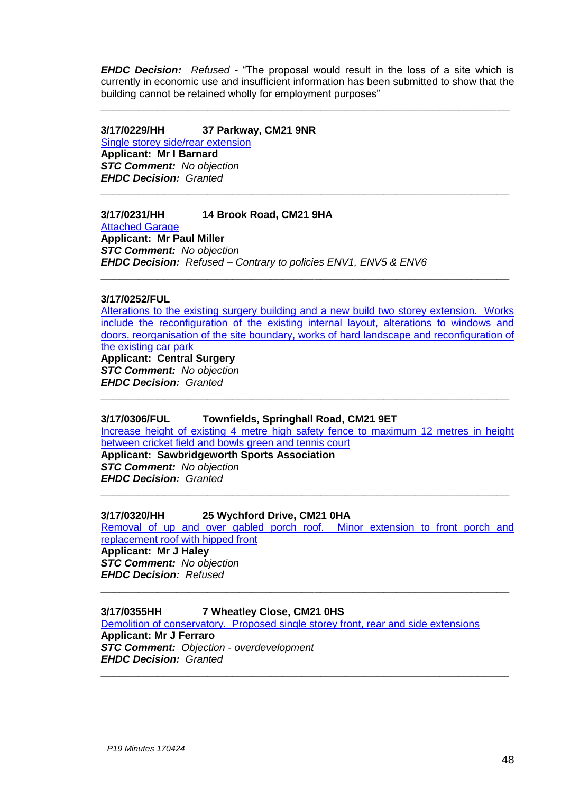*EHDC Decision: Refused -* "The proposal would result in the loss of a site which is currently in economic use and insufficient information has been submitted to show that the building cannot be retained wholly for employment purposes"

**\_\_\_\_\_\_\_\_\_\_\_\_\_\_\_\_\_\_\_\_\_\_\_\_\_\_\_\_\_\_\_\_\_\_\_\_\_\_\_\_\_\_\_\_\_\_\_\_\_\_\_\_\_\_\_\_\_\_\_\_\_\_\_\_\_**

**\_\_\_\_\_\_\_\_\_\_\_\_\_\_\_\_\_\_\_\_\_\_\_\_\_\_\_\_\_\_\_\_\_\_\_\_\_\_\_\_\_\_\_\_\_\_\_\_\_\_\_\_\_\_\_\_\_\_\_\_\_\_\_\_\_**

#### **3/17/0229/HH 37 Parkway, CM21 9NR**

[Single storey side/rear extension](https://publicaccess.eastherts.gov.uk/online-applications/applicationDetails.do?activeTab=summary&keyVal=OKLM8DGL00X00) **Applicant: Mr I Barnard** *STC Comment: No objection EHDC Decision: Granted*

# **3/17/0231/HH 14 Brook Road, CM21 9HA**

[Attached Garage](https://publicaccess.eastherts.gov.uk/online-applications/applicationDetails.do?activeTab=summary&keyVal=OKLOKCGLN3T00) **Applicant: Mr Paul Miller** *STC Comment: No objection EHDC Decision: Refused – Contrary to policies ENV1, ENV5 & ENV6*

# **3/17/0252/FUL**

[Alterations to the existing surgery building and a new build two storey extension. Works](https://publicaccess.eastherts.gov.uk/online-applications/applicationDetails.do?activeTab=summary&keyVal=OKP2WEGLN4V00)  [include the reconfiguration of the existing internal layout, alterations to windows and](https://publicaccess.eastherts.gov.uk/online-applications/applicationDetails.do?activeTab=summary&keyVal=OKP2WEGLN4V00)  [doors, reorganisation of the site boundary, works of hard landscape and reconfiguration of](https://publicaccess.eastherts.gov.uk/online-applications/applicationDetails.do?activeTab=summary&keyVal=OKP2WEGLN4V00)  [the existing car park](https://publicaccess.eastherts.gov.uk/online-applications/applicationDetails.do?activeTab=summary&keyVal=OKP2WEGLN4V00)

**\_\_\_\_\_\_\_\_\_\_\_\_\_\_\_\_\_\_\_\_\_\_\_\_\_\_\_\_\_\_\_\_\_\_\_\_\_\_\_\_\_\_\_\_\_\_\_\_\_\_\_\_\_\_\_\_\_\_\_\_\_\_\_\_\_**

**Applicant: Central Surgery** *STC Comment: No objection*

*EHDC Decision: Granted*

# **3/17/0306/FUL Townfields, Springhall Road, CM21 9ET**

[Increase height of existing 4 metre high safety fence to maximum 12 metres in height](https://publicaccess.eastherts.gov.uk/online-applications/applicationDetails.do?activeTab=summary&keyVal=OL1X9XGL00X00)  [between cricket field and bowls green and tennis court](https://publicaccess.eastherts.gov.uk/online-applications/applicationDetails.do?activeTab=summary&keyVal=OL1X9XGL00X00)

**\_\_\_\_\_\_\_\_\_\_\_\_\_\_\_\_\_\_\_\_\_\_\_\_\_\_\_\_\_\_\_\_\_\_\_\_\_\_\_\_\_\_\_\_\_\_\_\_\_\_\_\_\_\_\_\_\_\_\_\_\_\_\_\_\_**

**Applicant: Sawbridgeworth Sports Association** *STC Comment: No objection EHDC Decision: Granted*

#### **3/17/0320/HH 25 Wychford Drive, CM21 0HA**

[Removal of up and over gabled porch roof. Minor extension to front porch and](https://publicaccess.eastherts.gov.uk/online-applications/applicationDetails.do?activeTab=summary&keyVal=OL3RWZGL00X00)  [replacement roof with hipped front](https://publicaccess.eastherts.gov.uk/online-applications/applicationDetails.do?activeTab=summary&keyVal=OL3RWZGL00X00) **Applicant: Mr J Haley**

**\_\_\_\_\_\_\_\_\_\_\_\_\_\_\_\_\_\_\_\_\_\_\_\_\_\_\_\_\_\_\_\_\_\_\_\_\_\_\_\_\_\_\_\_\_\_\_\_\_\_\_\_\_\_\_\_\_\_\_\_\_\_\_\_\_**

**\_\_\_\_\_\_\_\_\_\_\_\_\_\_\_\_\_\_\_\_\_\_\_\_\_\_\_\_\_\_\_\_\_\_\_\_\_\_\_\_\_\_\_\_\_\_\_\_\_\_\_\_\_\_\_\_\_\_\_\_\_\_\_\_\_**

**\_\_\_\_\_\_\_\_\_\_\_\_\_\_\_\_\_\_\_\_\_\_\_\_\_\_\_\_\_\_\_\_\_\_\_\_\_\_\_\_\_\_\_\_\_\_\_\_\_\_\_\_\_\_\_\_\_\_\_\_\_\_\_\_\_**

*STC Comment: No objection EHDC Decision: Refused*

# **3/17/0355HH 7 Wheatley Close, CM21 0HS**

[Demolition of conservatory. Proposed single storey front, rear and side extensions](https://publicaccess.eastherts.gov.uk/online-applications/applicationDetails.do?activeTab=summary&keyVal=OLB8OUGL00X00) **Applicant: Mr J Ferraro** *STC Comment: Objection - overdevelopment EHDC Decision: Granted*